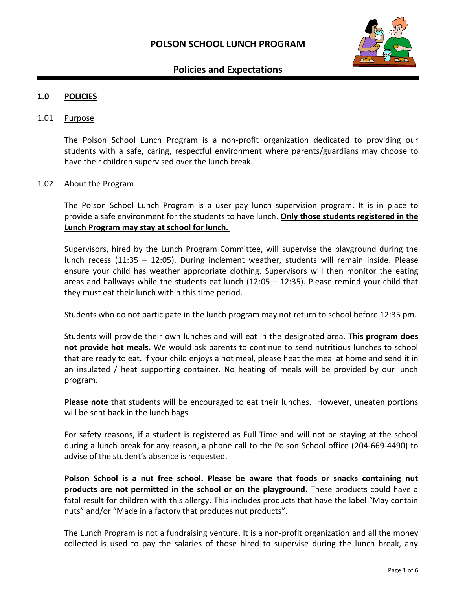

# **Policies and Expectations**

## **1.0 POLICIES**

#### 1.01 Purpose

The Polson School Lunch Program is a non-profit organization dedicated to providing our students with a safe, caring, respectful environment where parents/guardians may choose to have their children supervised over the lunch break.

#### 1.02 About the Program

The Polson School Lunch Program is a user pay lunch supervision program. It is in place to provide a safe environment for the students to have lunch. **Only those students registered in the Lunch Program may stay at school for lunch.** 

Supervisors, hired by the Lunch Program Committee, will supervise the playground during the lunch recess (11:35 – 12:05). During inclement weather, students will remain inside. Please ensure your child has weather appropriate clothing. Supervisors will then monitor the eating areas and hallways while the students eat lunch (12:05 – 12:35). Please remind your child that they must eat their lunch within this time period.

Students who do not participate in the lunch program may not return to school before 12:35 pm.

Students will provide their own lunches and will eat in the designated area. **This program does not provide hot meals.** We would ask parents to continue to send nutritious lunches to school that are ready to eat. If your child enjoys a hot meal, please heat the meal at home and send it in an insulated / heat supporting container. No heating of meals will be provided by our lunch program.

**Please note** that students will be encouraged to eat their lunches. However, uneaten portions will be sent back in the lunch bags.

For safety reasons, if a student is registered as Full Time and will not be staying at the school during a lunch break for any reason, a phone call to the Polson School office (204-669-4490) to advise of the student's absence is requested.

**Polson School is a nut free school. Please be aware that foods or snacks containing nut products are not permitted in the school or on the playground.** These products could have a fatal result for children with this allergy. This includes products that have the label "May contain nuts" and/or "Made in a factory that produces nut products".

The Lunch Program is not a fundraising venture. It is a non-profit organization and all the money collected is used to pay the salaries of those hired to supervise during the lunch break, any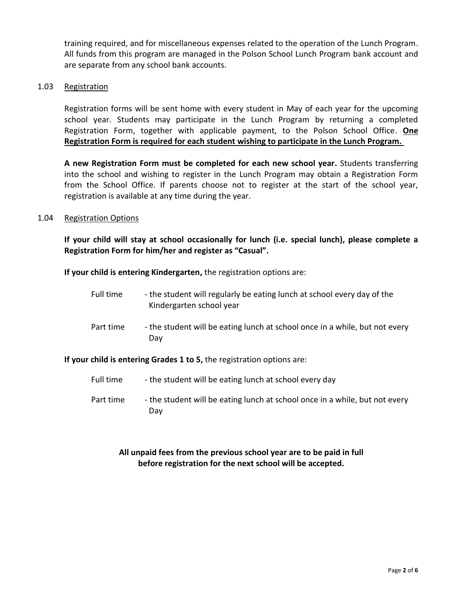training required, and for miscellaneous expenses related to the operation of the Lunch Program. All funds from this program are managed in the Polson School Lunch Program bank account and are separate from any school bank accounts.

### 1.03 Registration

Registration forms will be sent home with every student in May of each year for the upcoming school year. Students may participate in the Lunch Program by returning a completed Registration Form, together with applicable payment, to the Polson School Office. **One Registration Form is required for each student wishing to participate in the Lunch Program.** 

**A new Registration Form must be completed for each new school year.** Students transferring into the school and wishing to register in the Lunch Program may obtain a Registration Form from the School Office. If parents choose not to register at the start of the school year, registration is available at any time during the year.

## 1.04 Registration Options

**If your child will stay at school occasionally for lunch (i.e. special lunch), please complete a Registration Form for him/her and register as "Casual".**

**If your child is entering Kindergarten,** the registration options are:

| Full time | - the student will regularly be eating lunch at school every day of the<br>Kindergarten school year |
|-----------|-----------------------------------------------------------------------------------------------------|
| Part time | - the student will be eating lunch at school once in a while, but not every<br>Dav                  |

**If your child is entering Grades 1 to 5,** the registration options are:

- Full time the student will be eating lunch at school every day
- Part time the student will be eating lunch at school once in a while, but not every Day

# **All unpaid fees from the previous school year are to be paid in full before registration for the next school will be accepted.**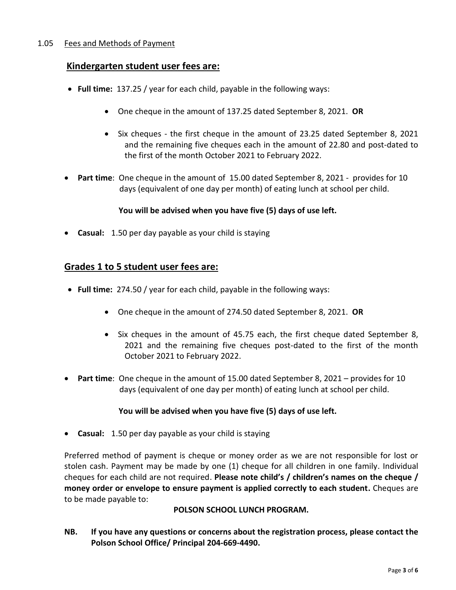# 1.05 Fees and Methods of Payment

# **Kindergarten student user fees are:**

- **Full time:** 137.25 / year for each child, payable in the following ways:
	- One cheque in the amount of 137.25 dated September 8, 2021. **OR**
	- Six cheques the first cheque in the amount of 23.25 dated September 8, 2021 and the remaining five cheques each in the amount of 22.80 and post-dated to the first of the month October 2021 to February 2022.
- **Part time**: One cheque in the amount of 15.00 dated September 8, 2021 provides for 10 days (equivalent of one day per month) of eating lunch at school per child.

## **You will be advised when you have five (5) days of use left.**

• **Casual:** 1.50 per day payable as your child is staying

# **Grades 1 to 5 student user fees are:**

- **Full time:** 274.50 / year for each child, payable in the following ways:
	- One cheque in the amount of 274.50 dated September 8, 2021. **OR**
	- Six cheques in the amount of 45.75 each, the first cheque dated September 8, 2021 and the remaining five cheques post-dated to the first of the month October 2021 to February 2022.
- **Part time**: One cheque in the amount of 15.00 dated September 8, 2021 provides for 10 days (equivalent of one day per month) of eating lunch at school per child.

# **You will be advised when you have five (5) days of use left.**

• **Casual:** 1.50 per day payable as your child is staying

Preferred method of payment is cheque or money order as we are not responsible for lost or stolen cash. Payment may be made by one (1) cheque for all children in one family. Individual cheques for each child are not required. **Please note child's / children's names on the cheque / money order or envelope to ensure payment is applied correctly to each student.** Cheques are to be made payable to:

### **POLSON SCHOOL LUNCH PROGRAM.**

**NB. If you have any questions or concerns about the registration process, please contact the Polson School Office/ Principal 204-669-4490.**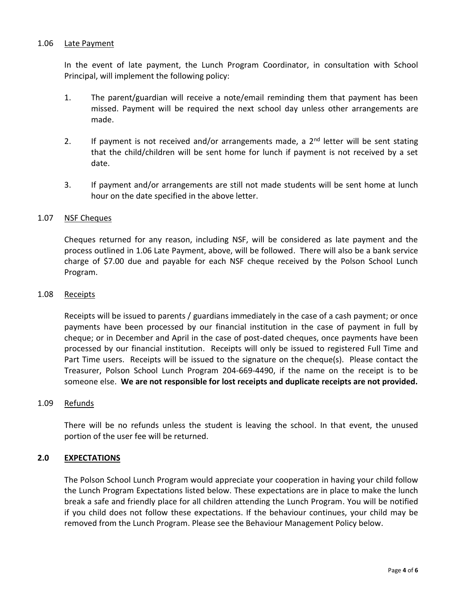## 1.06 Late Payment

In the event of late payment, the Lunch Program Coordinator, in consultation with School Principal, will implement the following policy:

- 1. The parent/guardian will receive a note/email reminding them that payment has been missed. Payment will be required the next school day unless other arrangements are made.
- 2. If payment is not received and/or arrangements made, a  $2^{nd}$  letter will be sent stating that the child/children will be sent home for lunch if payment is not received by a set date.
- 3. If payment and/or arrangements are still not made students will be sent home at lunch hour on the date specified in the above letter.

## 1.07 NSF Cheques

Cheques returned for any reason, including NSF, will be considered as late payment and the process outlined in 1.06 Late Payment, above, will be followed. There will also be a bank service charge of \$7.00 due and payable for each NSF cheque received by the Polson School Lunch Program.

### 1.08 Receipts

Receipts will be issued to parents / guardians immediately in the case of a cash payment; or once payments have been processed by our financial institution in the case of payment in full by cheque; or in December and April in the case of post-dated cheques, once payments have been processed by our financial institution. Receipts will only be issued to registered Full Time and Part Time users. Receipts will be issued to the signature on the cheque(s). Please contact the Treasurer, Polson School Lunch Program 204-669-4490, if the name on the receipt is to be someone else. **We are not responsible for lost receipts and duplicate receipts are not provided.**

### 1.09 Refunds

There will be no refunds unless the student is leaving the school. In that event, the unused portion of the user fee will be returned.

# **2.0 EXPECTATIONS**

The Polson School Lunch Program would appreciate your cooperation in having your child follow the Lunch Program Expectations listed below. These expectations are in place to make the lunch break a safe and friendly place for all children attending the Lunch Program. You will be notified if you child does not follow these expectations. If the behaviour continues, your child may be removed from the Lunch Program. Please see the Behaviour Management Policy below.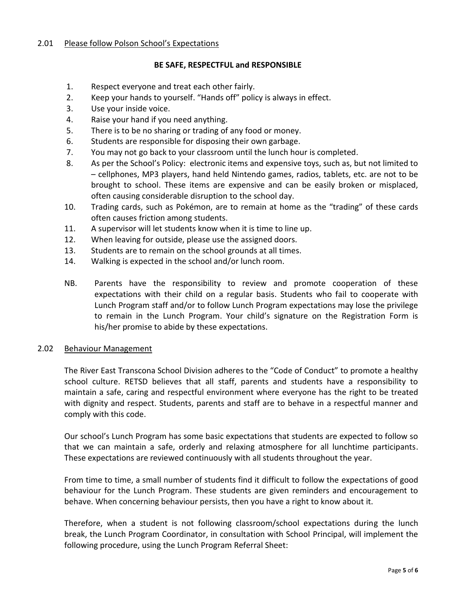## 2.01 Please follow Polson School's Expectations

### **BE SAFE, RESPECTFUL and RESPONSIBLE**

- 1. Respect everyone and treat each other fairly.
- 2. Keep your hands to yourself. "Hands off" policy is always in effect.
- 3. Use your inside voice.
- 4. Raise your hand if you need anything.
- 5. There is to be no sharing or trading of any food or money.
- 6. Students are responsible for disposing their own garbage.
- 7. You may not go back to your classroom until the lunch hour is completed.
- 8. As per the School's Policy: electronic items and expensive toys, such as, but not limited to – cellphones, MP3 players, hand held Nintendo games, radios, tablets, etc. are not to be brought to school. These items are expensive and can be easily broken or misplaced, often causing considerable disruption to the school day.
- 10. Trading cards, such as Pokémon, are to remain at home as the "trading" of these cards often causes friction among students.
- 11. A supervisor will let students know when it is time to line up.
- 12. When leaving for outside, please use the assigned doors.
- 13. Students are to remain on the school grounds at all times.
- 14. Walking is expected in the school and/or lunch room.
- NB. Parents have the responsibility to review and promote cooperation of these expectations with their child on a regular basis. Students who fail to cooperate with Lunch Program staff and/or to follow Lunch Program expectations may lose the privilege to remain in the Lunch Program. Your child's signature on the Registration Form is his/her promise to abide by these expectations.

# 2.02 Behaviour Management

The River East Transcona School Division adheres to the "Code of Conduct" to promote a healthy school culture. RETSD believes that all staff, parents and students have a responsibility to maintain a safe, caring and respectful environment where everyone has the right to be treated with dignity and respect. Students, parents and staff are to behave in a respectful manner and comply with this code.

Our school's Lunch Program has some basic expectations that students are expected to follow so that we can maintain a safe, orderly and relaxing atmosphere for all lunchtime participants. These expectations are reviewed continuously with all students throughout the year.

From time to time, a small number of students find it difficult to follow the expectations of good behaviour for the Lunch Program. These students are given reminders and encouragement to behave. When concerning behaviour persists, then you have a right to know about it.

Therefore, when a student is not following classroom/school expectations during the lunch break, the Lunch Program Coordinator, in consultation with School Principal, will implement the following procedure, using the Lunch Program Referral Sheet: